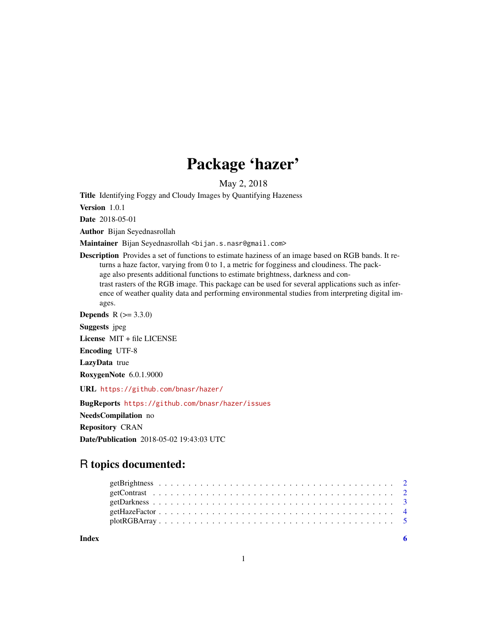## Package 'hazer'

May 2, 2018

Title Identifying Foggy and Cloudy Images by Quantifying Hazeness

Version 1.0.1

Date 2018-05-01

Author Bijan Seyednasrollah

Maintainer Bijan Seyednasrollah <br/>bijan.s.nasr@gmail.com>

Description Provides a set of functions to estimate haziness of an image based on RGB bands. It returns a haze factor, varying from 0 to 1, a metric for fogginess and cloudiness. The package also presents additional functions to estimate brightness, darkness and contrast rasters of the RGB image. This package can be used for several applications such as inference of weather quality data and performing environmental studies from interpreting digital images.

**Depends**  $R (= 3.3.0)$ 

Suggests jpeg

License MIT + file LICENSE

Encoding UTF-8

LazyData true

RoxygenNote 6.0.1.9000

URL <https://github.com/bnasr/hazer/>

BugReports <https://github.com/bnasr/hazer/issues> NeedsCompilation no Repository CRAN Date/Publication 2018-05-02 19:43:03 UTC

### R topics documented:

**Index** [6](#page-5-0) **6**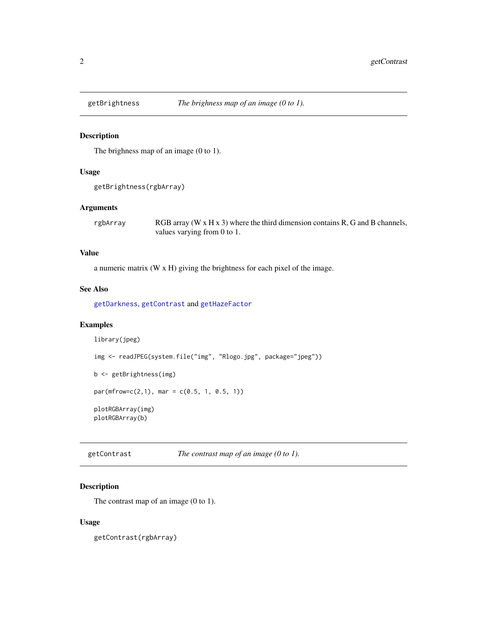<span id="page-1-2"></span><span id="page-1-0"></span>

#### Description

The brighness map of an image (0 to 1).

#### Usage

```
getBrightness(rgbArray)
```
#### Arguments

rgbArray RGB array (W  $\times$  H  $\times$  3) where the third dimension contains R, G and B channels, values varying from 0 to 1.

#### Value

a numeric matrix (W x H) giving the brightness for each pixel of the image.

#### See Also

[getDarkness](#page-2-1), [getContrast](#page-1-1) and [getHazeFactor](#page-3-1)

#### Examples

```
library(jpeg)
img <- readJPEG(system.file("img", "Rlogo.jpg", package="jpeg"))
b <- getBrightness(img)
par(mfrow=c(2,1), mar = c(0.5, 1, 0.5, 1))plotRGBArray(img)
plotRGBArray(b)
```
<span id="page-1-1"></span>getContrast *The contrast map of an image (0 to 1).*

#### Description

The contrast map of an image (0 to 1).

#### Usage

getContrast(rgbArray)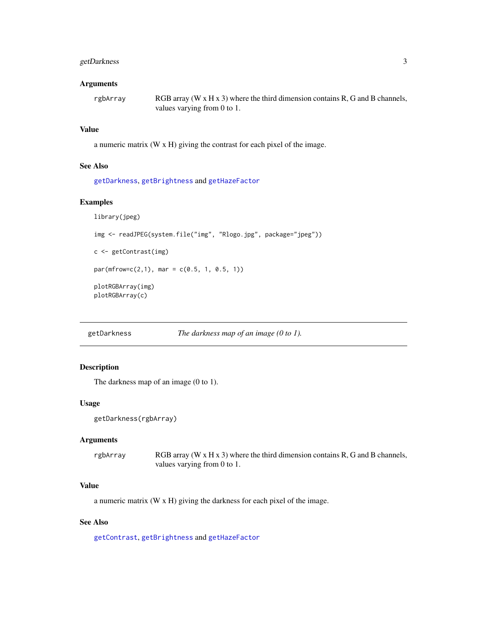#### <span id="page-2-0"></span>getDarkness 3

#### Arguments

rgbArray RGB array (W x H x 3) where the third dimension contains R, G and B channels, values varying from 0 to 1.

#### Value

a numeric matrix (W x H) giving the contrast for each pixel of the image.

#### See Also

[getDarkness](#page-2-1), [getBrightness](#page-1-2) and [getHazeFactor](#page-3-1)

#### Examples

```
library(jpeg)
img <- readJPEG(system.file("img", "Rlogo.jpg", package="jpeg"))
c <- getContrast(img)
par(mfrow=c(2,1), mar = c(0.5, 1, 0.5, 1))plotRGBArray(img)
plotRGBArray(c)
```
<span id="page-2-1"></span>getDarkness *The darkness map of an image (0 to 1).*

#### Description

The darkness map of an image (0 to 1).

#### Usage

```
getDarkness(rgbArray)
```
#### Arguments

| rgbArray | RGB array (W $\times$ H $\times$ 3) where the third dimension contains R, G and B channels, |
|----------|---------------------------------------------------------------------------------------------|
|          | values varying from 0 to 1.                                                                 |

#### Value

a numeric matrix (W x H) giving the darkness for each pixel of the image.

#### See Also

[getContrast](#page-1-1), [getBrightness](#page-1-2) and [getHazeFactor](#page-3-1)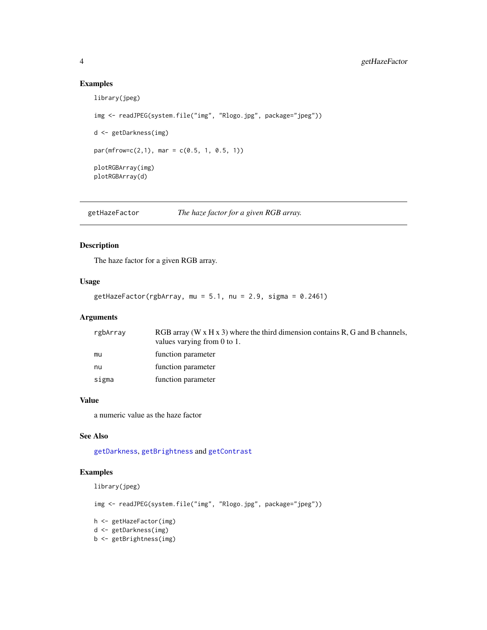#### Examples

```
library(jpeg)
img <- readJPEG(system.file("img", "Rlogo.jpg", package="jpeg"))
d <- getDarkness(img)
par(mfrow=c(2,1), mar = c(0.5, 1, 0.5, 1))plotRGBArray(img)
plotRGBArray(d)
```
<span id="page-3-1"></span>getHazeFactor *The haze factor for a given RGB array.*

#### Description

The haze factor for a given RGB array.

#### Usage

getHazeFactor(rgbArray, mu =  $5.1$ , nu =  $2.9$ , sigma =  $0.2461$ )

#### Arguments

| rgbArray | RGB array (W $\times$ H $\times$ 3) where the third dimension contains R, G and B channels,<br>values varying from $0$ to $1$ . |
|----------|---------------------------------------------------------------------------------------------------------------------------------|
| mu       | function parameter                                                                                                              |
| nu       | function parameter                                                                                                              |
| sigma    | function parameter                                                                                                              |

#### Value

a numeric value as the haze factor

#### See Also

[getDarkness](#page-2-1), [getBrightness](#page-1-2) and [getContrast](#page-1-1)

#### Examples

library(jpeg)

```
img <- readJPEG(system.file("img", "Rlogo.jpg", package="jpeg"))
h <- getHazeFactor(img)
d <- getDarkness(img)
b <- getBrightness(img)
```
<span id="page-3-0"></span>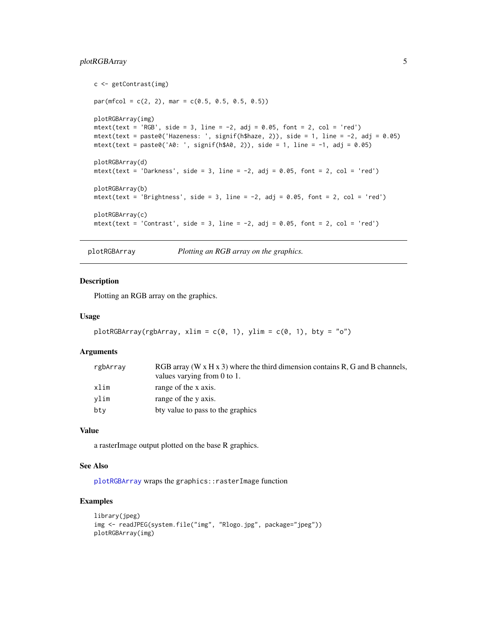#### <span id="page-4-0"></span>plotRGBArray 5

```
c <- getContrast(img)
par(mfcol = c(2, 2), mar = c(0.5, 0.5, 0.5, 0.5))plotRGBArray(img)
mtext(text = 'RGB', side = 3, line = -2, adj = 0.05, font = 2, col = 'red')
mtext{text(text = paste0('Hazeness: ', signif(h$haze, 2)), side = 1, line = -2, adj = 0.05)mtextttext(text = paste0('A0: ', signif(h$A0, 2)), side = 1, line = -1, adj = 0.05)plotRGBArray(d)
mtext(text = 'Darkness', side = 3, line = -2, adj = 0.05, font = 2, col = 'red')
plotRGBArray(b)
mtext(text = 'Brightness', side = 3, line = -2, adj = 0.05, font = 2, col = 'red')
plotRGBArray(c)
mtext(text = 'Contrast', side = 3, line = -2, adj = 0.05, font = 2, col = 'red')
```
plotRGBArray *Plotting an RGB array on the graphics.*

#### Description

Plotting an RGB array on the graphics.

#### Usage

```
plotRGBArray(rgbArray, xlim = c(0, 1), ylim = c(0, 1), bty = "o")
```
#### Arguments

| rgbArray | RGB array (W $\times$ H $\times$ 3) where the third dimension contains R, G and B channels, |
|----------|---------------------------------------------------------------------------------------------|
|          | values varying from 0 to 1.                                                                 |
| xlim     | range of the x axis.                                                                        |
| vlim     | range of the y axis.                                                                        |
| bty      | bty value to pass to the graphics                                                           |

#### Value

a rasterImage output plotted on the base R graphics.

#### See Also

[plotRGBArray](#page-4-1) wraps the graphics::rasterImage function

#### Examples

```
library(jpeg)
img <- readJPEG(system.file("img", "Rlogo.jpg", package="jpeg"))
plotRGBArray(img)
```